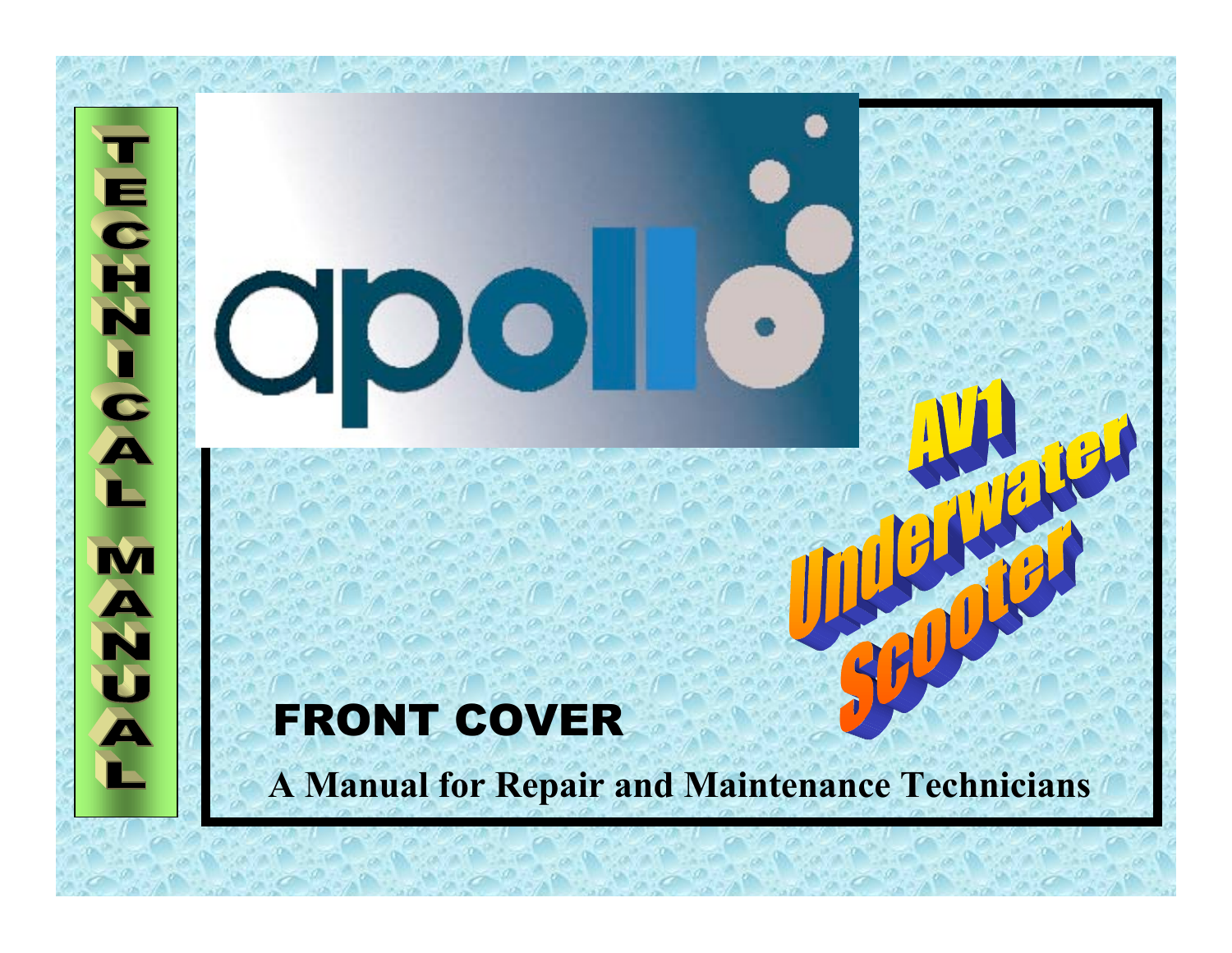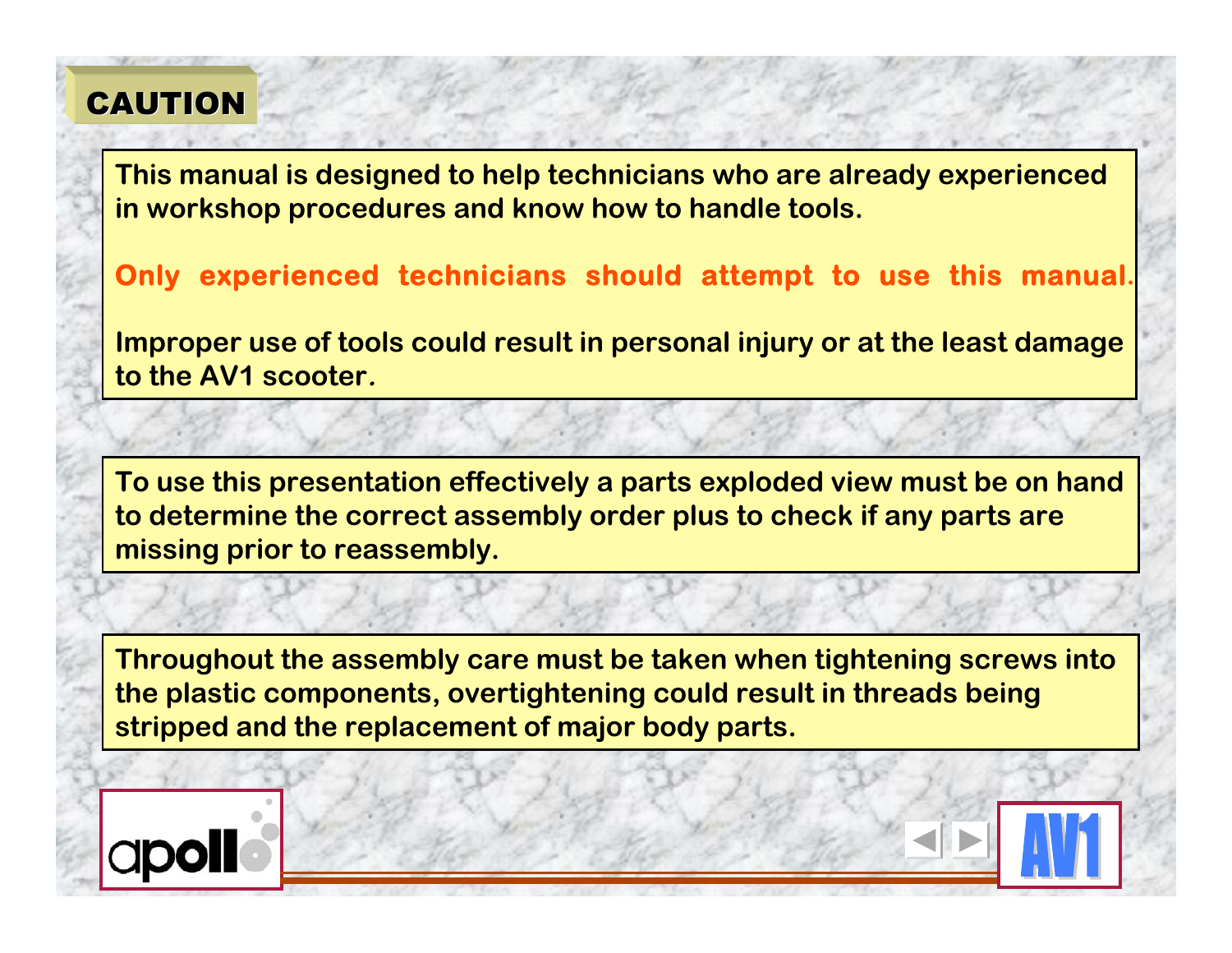# **CAUTION**

**This manual is designed to help technicians who are already experienced in workshop procedures and know how to handle tools.**

**Only experienced technicians should attempt to use this manual.**

**Improper use of tools could result in personal injury or at the least damage to the AV1 scooter.**

**To use this presentation effectively a parts exploded view must be on hand to determine the correct assembly order plus to check if any parts are missing prior to reassembly.**

**Throughout the assembly care must be taken when tightening screws into the plastic components, overtightening could result in threads being stripped and the replacement of major body parts.**

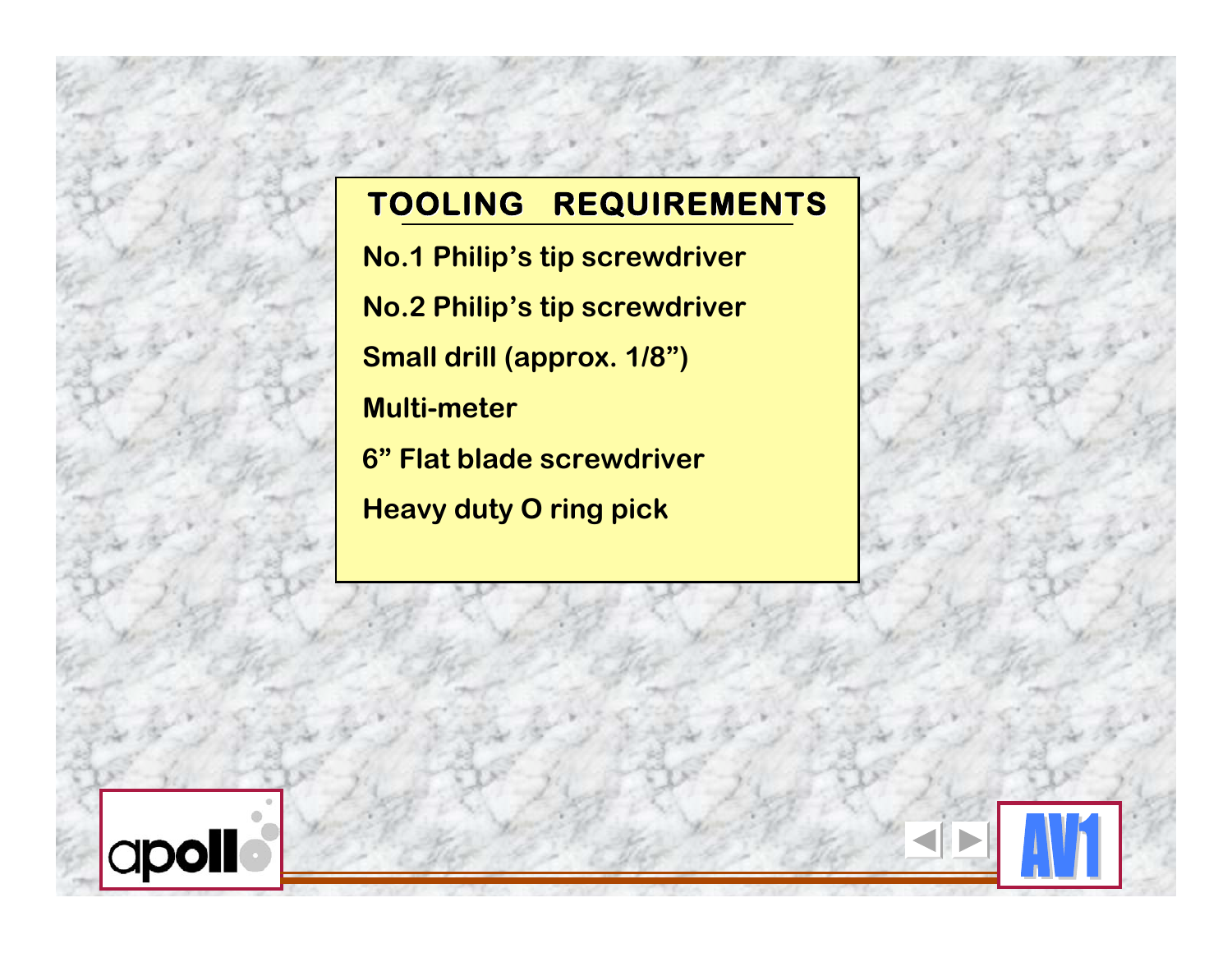# **TOOLING TOOLING REQUIREMENTS REQUIREMENTS**

 **No.1 Philip's tip screwdriver No.2 Philip's tip screwdriver Small drill (approx. 1/8") Multi-meter 6" Flat blade screwdriver Heavy duty O ring pick**

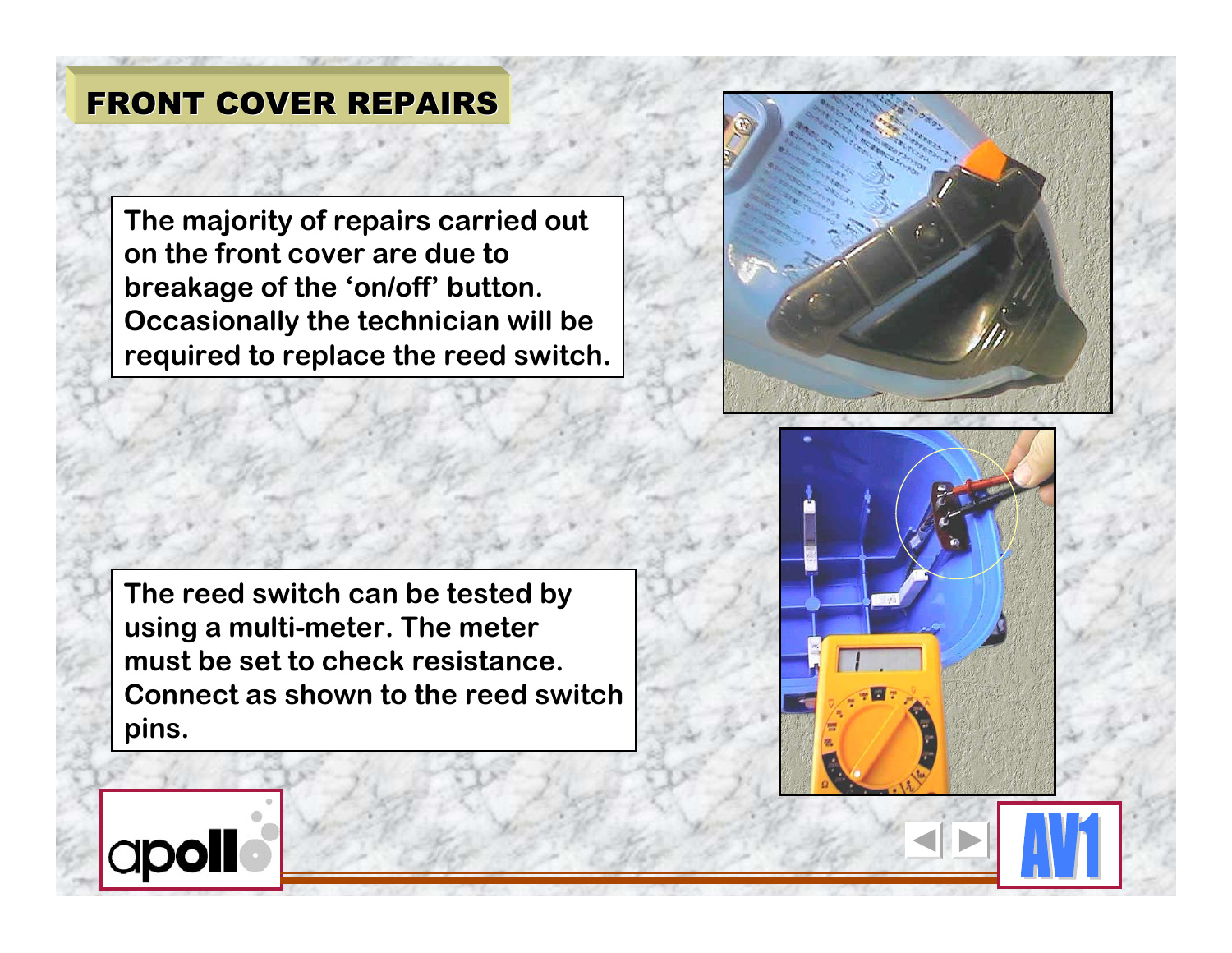**The majority of repairs carried out on the front cover are due to breakage of the 'on/off' button. Occasionally the technician will be required to replace the reed switch.**





**The reed switch can be tested by using a multi-meter. The meter must be set to check resistance. Connect as shown to the reed switch pins.**

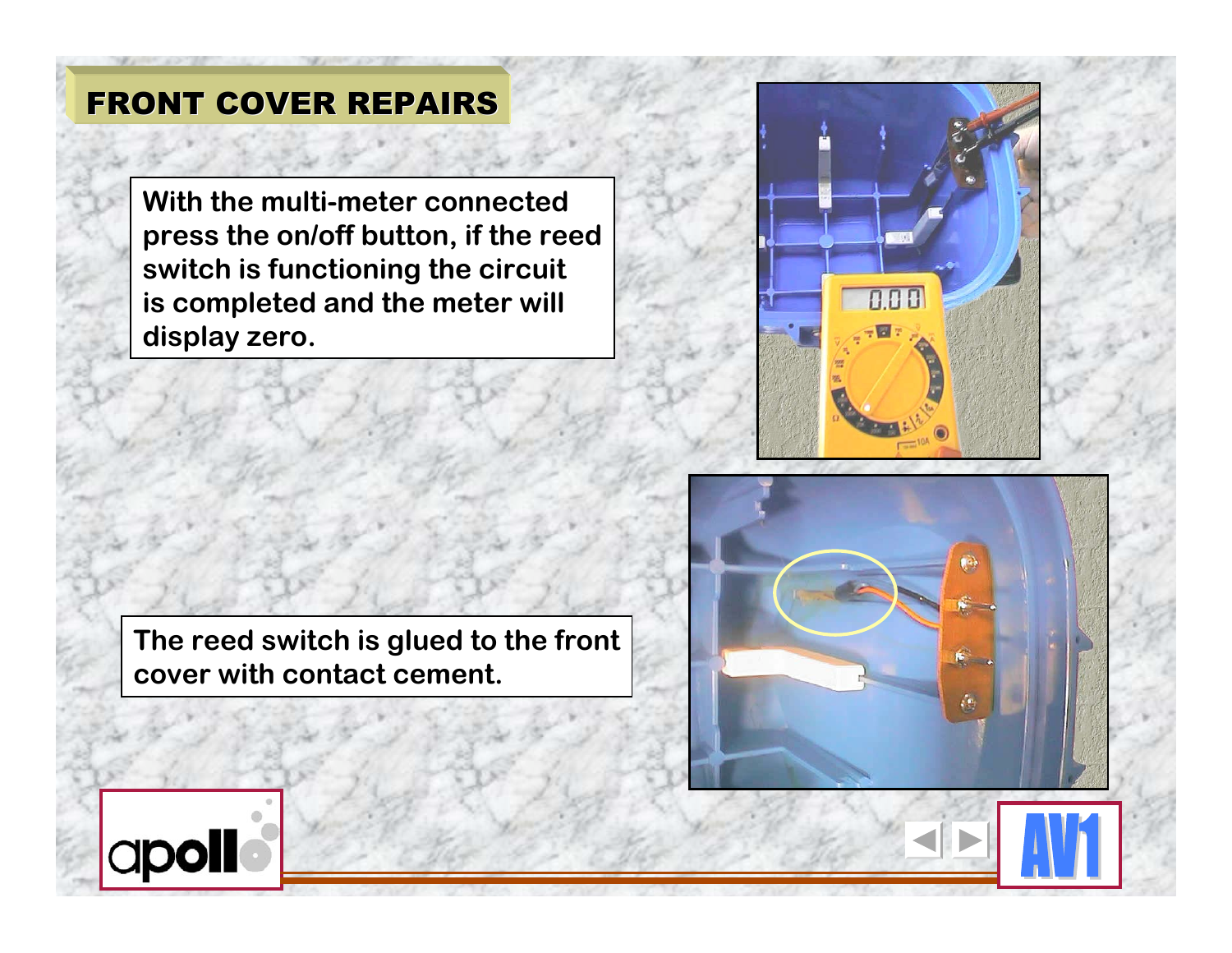**With the multi-meter connected press the on/off button, if the reed switch is functioning the circuit is completed and the meter will display zero.**



**The reed switch is glued to the front cover with contact cement.**



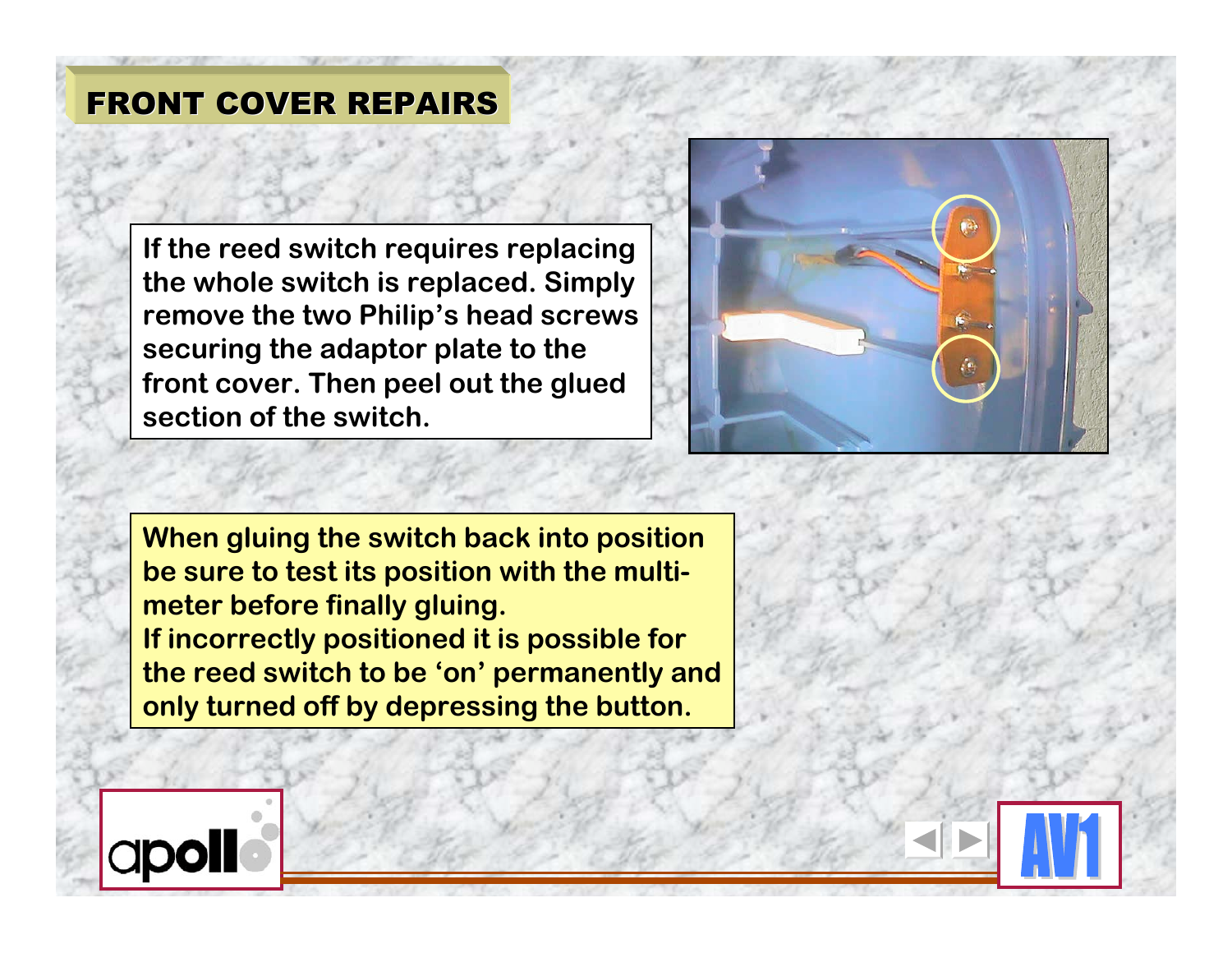**If the reed switch requires replacing the whole switch is replaced. Simply remove the two Philip's head screws securing the adaptor plate to the front cover. Then peel out the glued section of the switch.**



**When gluing the switch back into position be sure to test its position with the multimeter before finally gluing. If incorrectly positioned it is possible for the reed switch to be 'on' permanently and only turned off by depressing the button.**

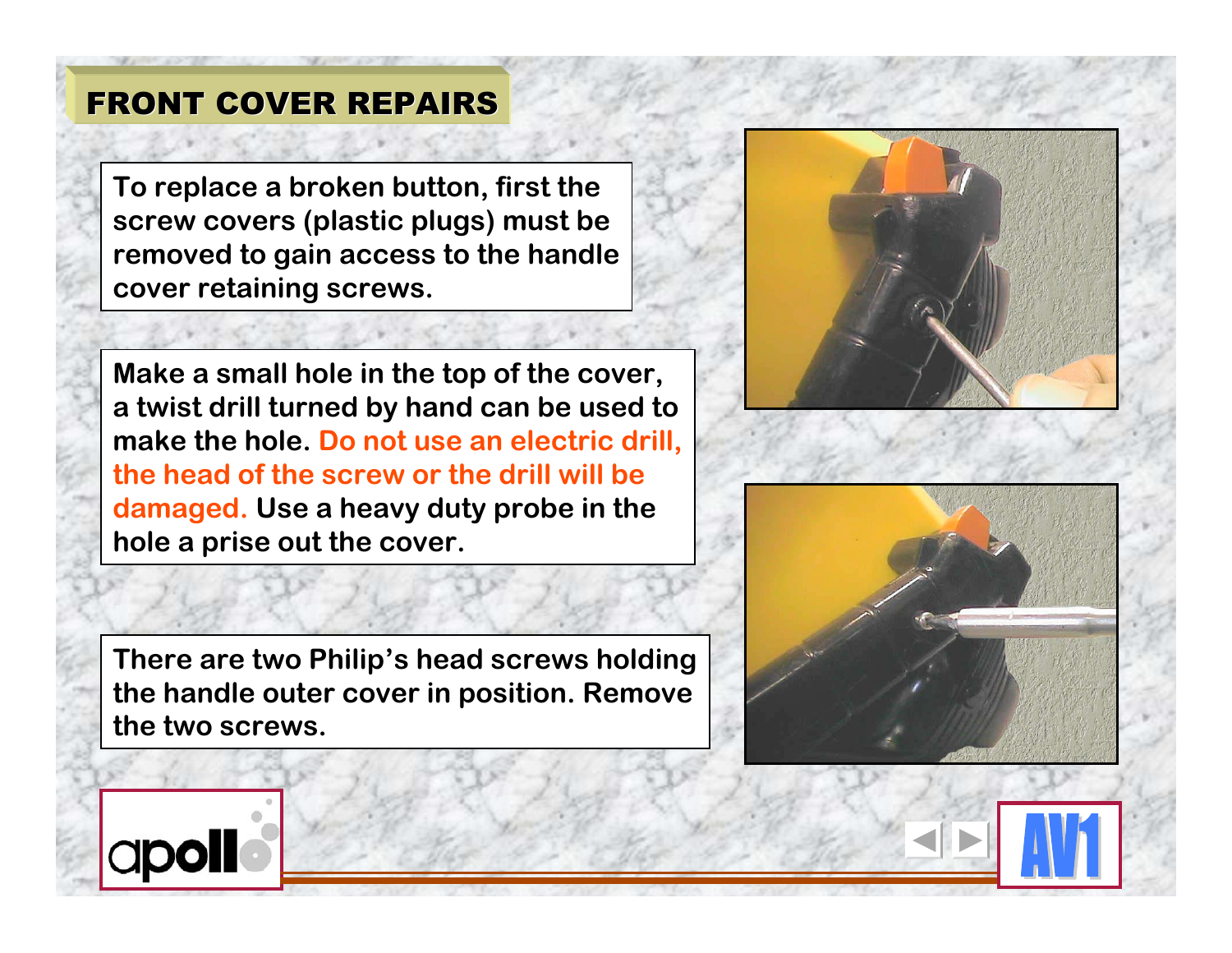**To replace a broken button, first the screw covers (plastic plugs) must be removed to gain access to the handle cover retaining screws.**

**Make a small hole in the top of the cover, a twist drill turned by hand can be used to make the hole. Do not use an electric drill, the head of the screw or the drill will be damaged. Use a heavy duty probe in the hole a prise out the cover.**

**There are two Philip's head screws holding the handle outer cover in position. Remove the two screws.**





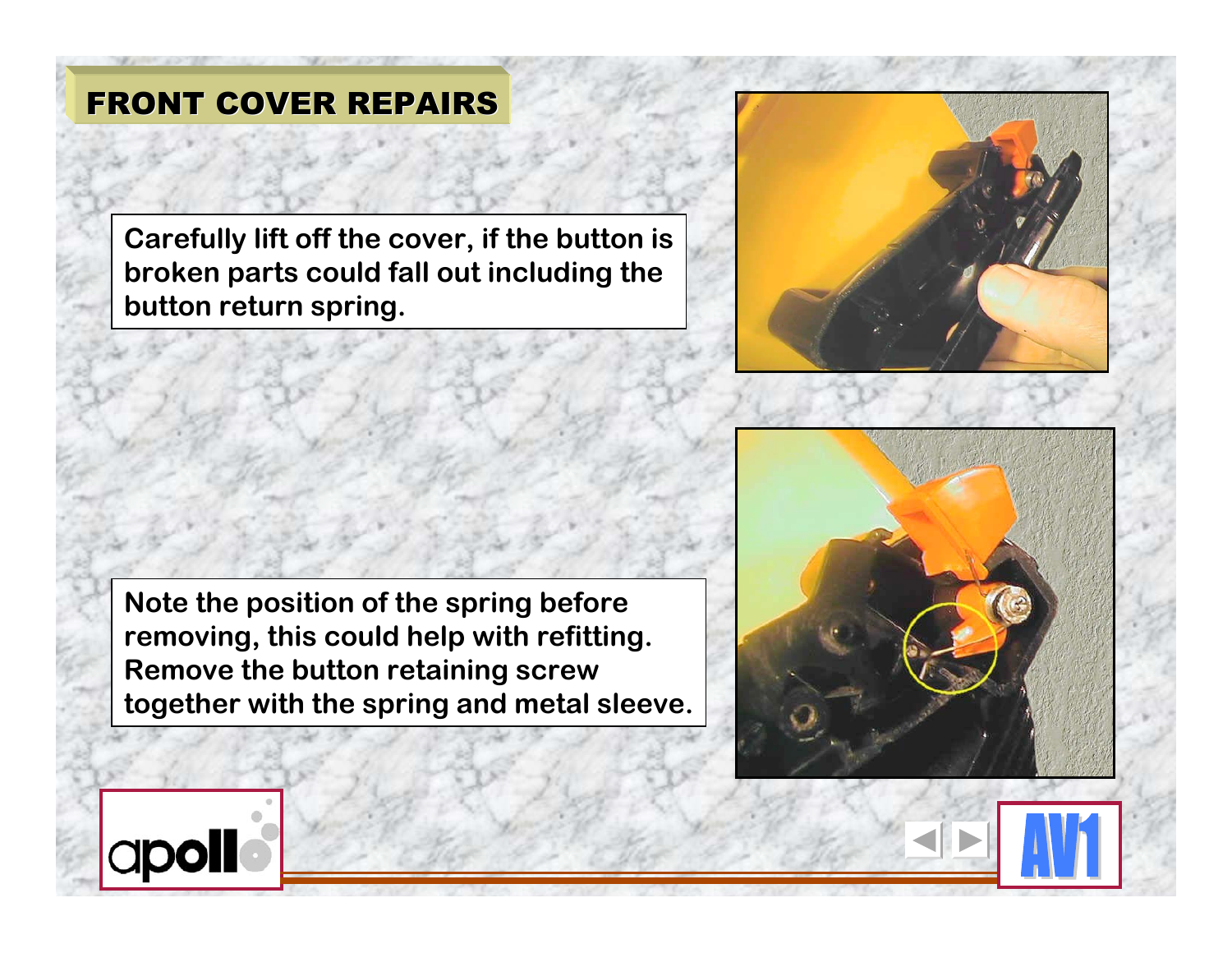**Carefully lift off the cover, if the button is broken parts could fall out including the button return spring.**



**Note the position of the spring before removing, this could help with refitting. Remove the button retaining screw together with the spring and metal sleeve.**



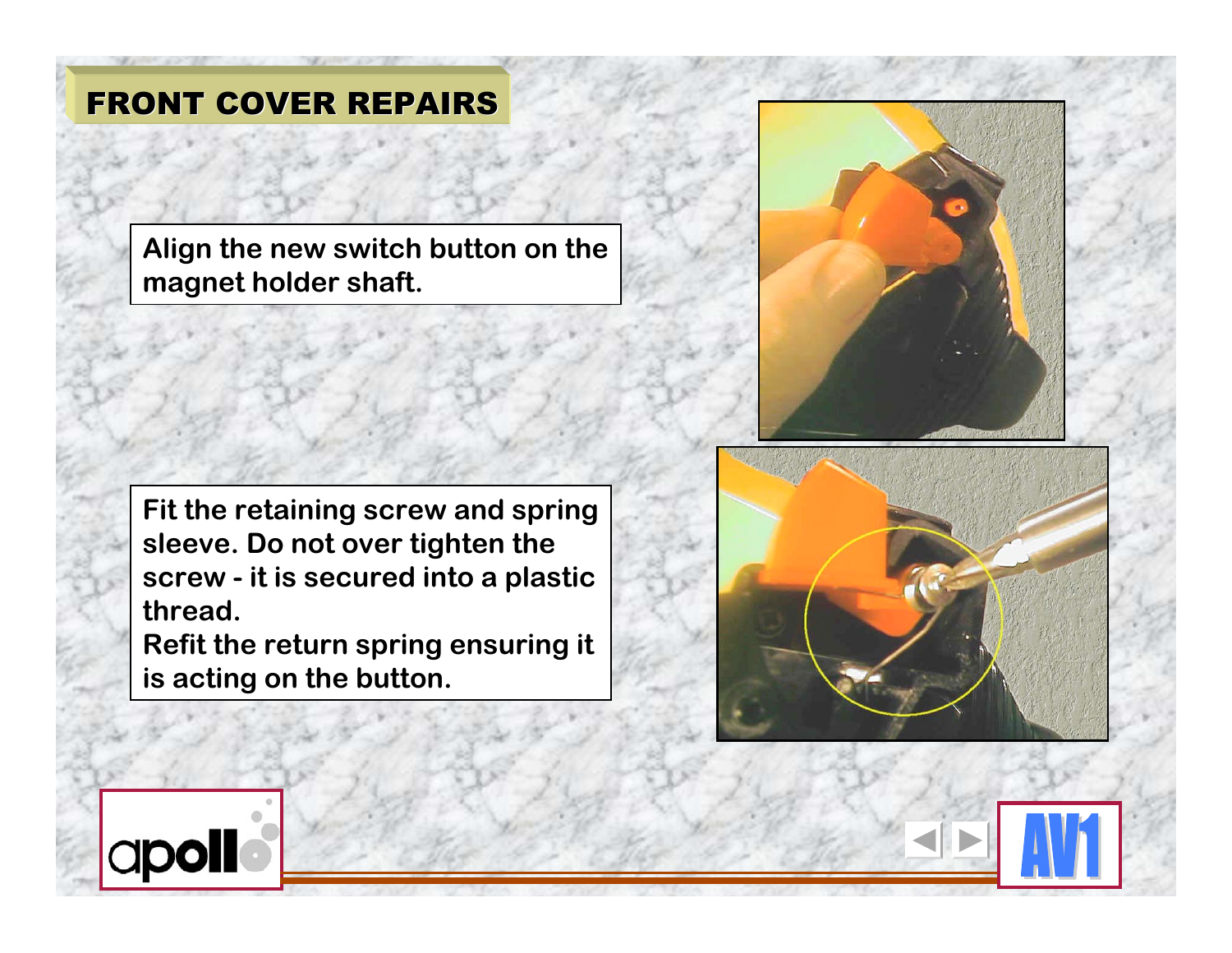**Align the new switch button on the magnet holder shaft.**

**Fit the retaining screw and spring sleeve. Do not over tighten the screw - it is secured into a plastic thread.**

**Refit the return spring ensuring it is acting on the button.**